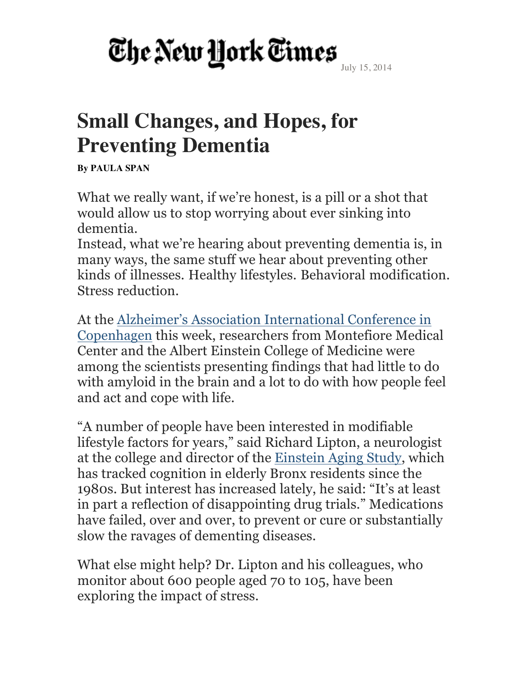July 15, 2014

#### **Small Changes, and Hopes, for Preventing Dementia**

**By PAULA SPAN**

What we really want, if we're honest, is a pill or a shot that would allow us to stop worrying about ever sinking into dementia.

Instead, what we're hearing about preventing dementia is, in many ways, the same stuff we hear about preventing other kinds of illnesses. Healthy lifestyles. Behavioral modification. Stress reduction.

At the Alzheimer's Association International Conference in Copenhagen this week, researchers from Montefiore Medical Center and the Albert Einstein College of Medicine were among the scientists presenting findings that had little to do with amyloid in the brain and a lot to do with how people feel and act and cope with life.

"A number of people have been interested in modifiable lifestyle factors for years," said Richard Lipton, a neurologist at the college and director of the Einstein Aging Study, which has tracked cognition in elderly Bronx residents since the 1980s. But interest has increased lately, he said: "It's at least in part a reflection of disappointing drug trials." Medications have failed, over and over, to prevent or cure or substantially slow the ravages of dementing diseases.

What else might help? Dr. Lipton and his colleagues, who monitor about 600 people aged 70 to 105, have been exploring the impact of stress.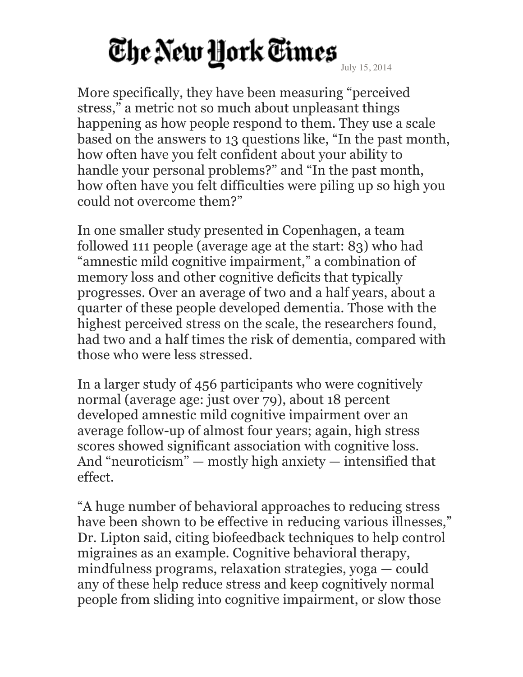More specifically, they have been measuring "perceived stress," a metric not so much about unpleasant things happening as how people respond to them. They use a scale based on the answers to 13 questions like, "In the past month, how often have you felt confident about your ability to handle your personal problems?" and "In the past month, how often have you felt difficulties were piling up so high you could not overcome them?"

In one smaller study presented in Copenhagen, a team followed 111 people (average age at the start: 83) who had "amnestic mild cognitive impairment," a combination of memory loss and other cognitive deficits that typically progresses. Over an average of two and a half years, about a quarter of these people developed dementia. Those with the highest perceived stress on the scale, the researchers found, had two and a half times the risk of dementia, compared with those who were less stressed.

In a larger study of 456 participants who were cognitively normal (average age: just over 79), about 18 percent developed amnestic mild cognitive impairment over an average follow-up of almost four years; again, high stress scores showed significant association with cognitive loss. And "neuroticism" — mostly high anxiety — intensified that effect.

"A huge number of behavioral approaches to reducing stress have been shown to be effective in reducing various illnesses," Dr. Lipton said, citing biofeedback techniques to help control migraines as an example. Cognitive behavioral therapy, mindfulness programs, relaxation strategies, yoga — could any of these help reduce stress and keep cognitively normal people from sliding into cognitive impairment, or slow those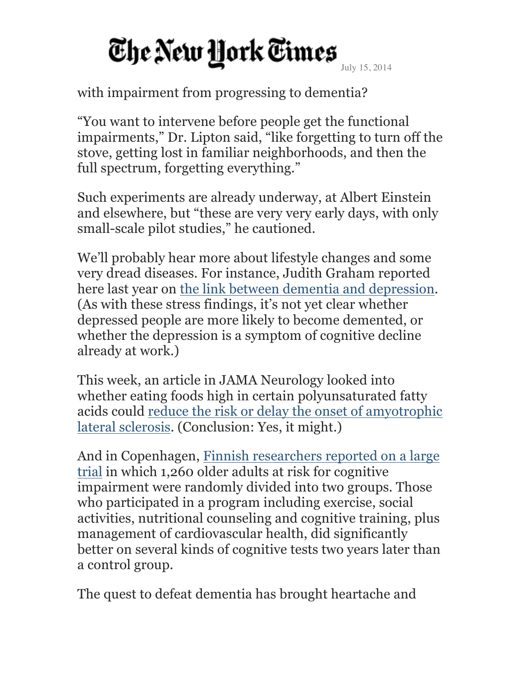with impairment from progressing to dementia?

"You want to intervene before people get the functional impairments," Dr. Lipton said, "like forgetting to turn off the stove, getting lost in familiar neighborhoods, and then the full spectrum, forgetting everything."

Such experiments are already underway, at Albert Einstein and elsewhere, but "these are very very early days, with only small-scale pilot studies," he cautioned.

We'll probably hear more about lifestyle changes and some very dread diseases. For instance, Judith Graham reported here last year on the link between dementia and depression. (As with these stress findings, it's not yet clear whether depressed people are more likely to become demented, or whether the depression is a symptom of cognitive decline already at work.)

This week, an article in JAMA Neurology looked into whether eating foods high in certain polyunsaturated fatty acids could reduce the risk or delay the onset of amyotrophic lateral sclerosis. (Conclusion: Yes, it might.)

And in Copenhagen, Finnish researchers reported on a large trial in which 1,260 older adults at risk for cognitive impairment were randomly divided into two groups. Those who participated in a program including exercise, social activities, nutritional counseling and cognitive training, plus management of cardiovascular health, did significantly better on several kinds of cognitive tests two years later than a control group.

The quest to defeat dementia has brought heartache and